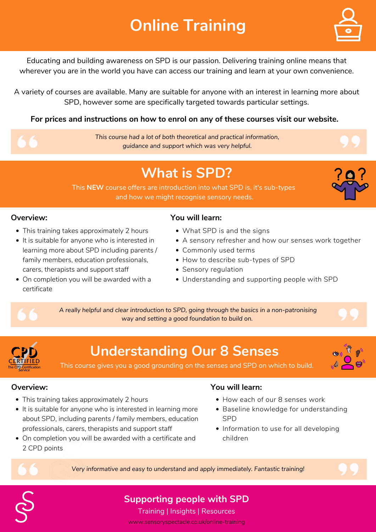Educating and building awareness on SPD is our passion. Delivering training online means that wherever you are in the world you have can access our training and learn at your own convenience.

A variety of courses are available. Many are suitable for anyone with an interest in learning more about SPD, however some are specifically targeted towards particular settings.

### **Supporting people with SPD**

# **Online Training**



Training | Insights | Resources www.sensoryspectacle.co.uk/online-training

- This training takes approximately 2 hours
- It is suitable for anyone who is interested in learning more about SPD including parents / family members, education professionals, carers, therapists and support staff
- On completion you will be awarded with a

*This course had a lot of both theoretical and practical information, guidance and support which was very helpful.*

- What SPD is and the signs
- A sensory refresher and how our senses work together
- Commonly used terms
- How to describe sub-types of SPD
- Sensory regulation
- Understanding and supporting people with SPD

**For prices and instructions on how to enrol on any of these courses visit our website.**

## **What is SPD?**

This **NEW** course offers are introduction into what SPD is, it's sub-types and how we might recognise sensory needs.



- This training takes approximately 2 hours
- It is suitable for anyone who is interested in learning more about SPD, including parents / family members, education professionals, carers, therapists and support staff
- On completion you will be awarded with a certificate and 2 CPD points
- How each of our 8 senses work
- Baseline knowledge for understanding SPD
- Information to use for all developing children

#### **Overview: You will learn:**

*A really helpful and clear introduction to SPD, going through the basics in a non-patronising way and setting a good foundation to build on.*



## **Understanding Our 8 Senses**

This course gives you a good grounding on the senses and SPD on which to build.



#### **Overview:**

#### **You will learn:**

*Very informative and easy to understand and apply immediately. Fantastic training!*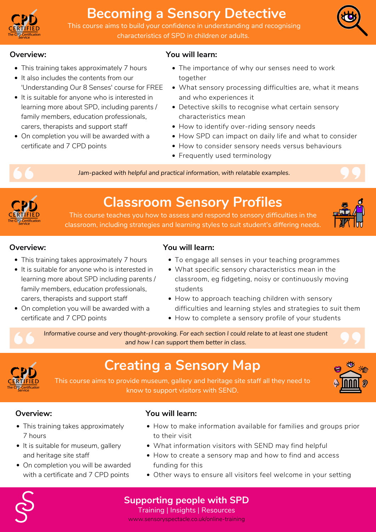### **Supporting people with SPD**

Training | Insights | Resources www.sensoryspectacle.co.uk/online-training



## **Becoming a Sensory Detective**

This course aims to build your confidence in understanding and recognising characteristics of SPD in children or adults.



#### **Overview:**

- This training takes approximately 7 hours
- It also includes the contents from our 'Understanding Our 8 Senses' course for FREE
- It is suitable for anyone who is interested in learning more about SPD, including parents / family members, education professionals, carers, therapists and support staff
- On completion you will be awarded with a certificate and 7 CPD points
- The importance of why our senses need to work together
- What sensory processing difficulties are, what it means and who experiences it
- Detective skills to recognise what certain sensory characteristics mean
- How to identify over-riding sensory needs
- How SPD can impact on daily life and what to consider
- How to consider sensory needs versus behaviours
- Frequently used terminology



- This training takes approximately 7 hours
- It is suitable for anyone who is interested in learning more about SPD including parents / family members, education professionals, carers, therapists and support staff

### **You will learn:**

*Jam-packed with helpful and practical information, with relatable examples.*



- This training takes approximately 7 hours
- It is suitable for museum, gallery and heritage site staff
- On completion you will be awarded with a certificate and 7 CPD points

## **Classroom Sensory Profiles**

This course teaches you how to assess and respond to sensory difficulties in the classroom, including strategies and learning styles to suit student's differing needs.



- To engage all senses in your teaching programmes
- What specific sensory characteristics mean in the classroom, eg fidgeting, noisy or continuously moving
- On completion you will be awarded with a certificate and 7 CPD points

students

- How to approach teaching children with sensory difficulties and learning styles and strategies to suit them
- How to complete a sensory profile of your students

### **Overview: You will learn:**

*Informative course and very thought-provoking. For each section I could relate to at least one student and how I can support them better in class.*



## **Creating a Sensory Map**

This course aims to provide museum, gallery and heritage site staff all they need to know to support visitors with SEND.



#### **Overview:**

- How to make information available for families and groups prior to their visit
- What information visitors with SEND may find helpful
- How to create a sensory map and how to find and access funding for this
- Other ways to ensure all visitors feel welcome in your setting

#### **You will learn:**